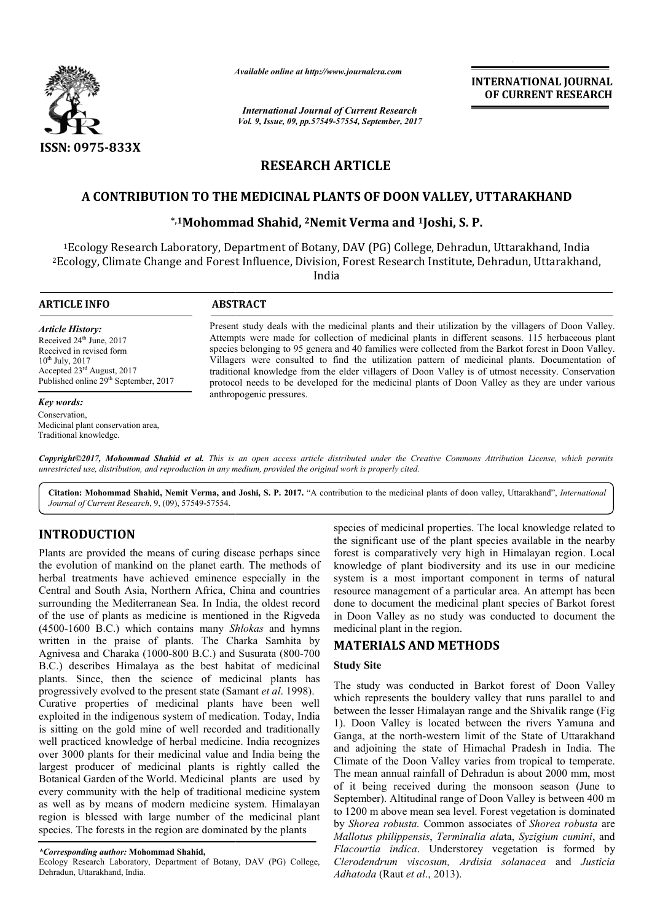

*Available online at http://www.journal http://www.journalcra.com*

*International Journal of Current Research Vol. 9, Issue, 09, pp.57549-57554, September, 2017* **INTERNATIONAL JOURNAL OF CURRENT RESEARCH** 

# **RESEARCH ARTICLE**

# **A CONTRIBUTION TO THE MEDICINAL PLANTS OF DOON VALLEY, UTTARAKHAND**

## **\*,1Mohommad Shahid, Mohommad 2Nemit Verma and 1Joshi, S. P.**

1Ecology Research Laboratory, Department of Botany, DAV (PG) College, Dehradun, Uttarakhand, India Ecology Research <sup>1</sup>Ecology Research Laboratory, Department of Botany, DAV (PG) College, Dehradun, Uttarakhand, India<br>Ecology, Climate Change and Forest Influence, Division, Forest Research Institute, Dehradun, Uttarakhand,

India

| <b>ARTICLE INFO</b>                                                                                                                                                                                                | <b>ABSTRACT</b>                                                                                                                                                                                                                                                                                                                                                                                                                                                                                                                                                                                                              |  |  |
|--------------------------------------------------------------------------------------------------------------------------------------------------------------------------------------------------------------------|------------------------------------------------------------------------------------------------------------------------------------------------------------------------------------------------------------------------------------------------------------------------------------------------------------------------------------------------------------------------------------------------------------------------------------------------------------------------------------------------------------------------------------------------------------------------------------------------------------------------------|--|--|
| <b>Article History:</b><br>Received 24 <sup>th</sup> June, 2017<br>Received in revised form<br>$10^{th}$ July, 2017<br>Accepted $23^{\text{rd}}$ August, 2017<br>Published online 29 <sup>th</sup> September, 2017 | Present study deals with the medicinal plants and their utilization by the villagers of Doon Valley.<br>Attempts were made for collection of medicinal plants in different seasons. 115 herbaceous plant<br>species belonging to 95 genera and 40 families were collected from the Barkot forest in Doon Valley.<br>Villagers were consulted to find the utilization pattern of medicinal plants. Documentation of<br>traditional knowledge from the elder villagers of Doon Valley is of utmost necessity. Conservation<br>protocol needs to be developed for the medicinal plants of Doon Valley as they are under various |  |  |
| Key words:                                                                                                                                                                                                         | anthropogenic pressures.                                                                                                                                                                                                                                                                                                                                                                                                                                                                                                                                                                                                     |  |  |
| Conservation,<br>Medicinal plant conservation area.                                                                                                                                                                |                                                                                                                                                                                                                                                                                                                                                                                                                                                                                                                                                                                                                              |  |  |

*Copyright©2017, Mohommad Shahid et al. This is an open access article distributed under the Creative Commons Att is distributed Attribution License, which permits unrestricted use, distribution, and reproduction in any medium, provided the original work is properly cited.*

**Citation: Mohommad Shahid, Nemit Verma, and Joshi, S. P. 2017.** "A contribution to the medicinal plants of doon valley, Uttarakhand A Uttarakhand", *International Journal of Current Research*, 9, (09), 57549-57554.

#### **INTRODUCTION**

Traditional knowledge.

Plants are provided the means of curing disease perhaps since the evolution of mankind on the planet earth. The methods of herbal treatments have achieved eminence especially in the Central and South Asia, Northern Africa, China and countries surrounding the Mediterranean Sea. In India, the oldest record of the use of plants as medicine is mentioned in the Rigveda (4500-1600 B.C.) which contains many *Shlokas*  written in the praise of plants. The Charka Samhita by Agnivesa and Charaka (1000-800 B.C.) and Susurata (800-700 B.C.) describes Himalaya as the best habitat of medicinal plants. Since, then the science of medicinal plants has progressively evolved to the present state (Samant *et al*. 1998). Curative properties of medicinal plants have been w well exploited in the indigenous system of medication. Today, India is sitting on the gold mine of well recorded and traditionally well practiced knowledge of herbal medicine. India recognizes over 3000 plants for their medicinal value and India being the largest producer of medicinal plants is rightly called the Botanical Garden of the World. Medicinal plants are used by every community with the help of traditional medicine system as well as by means of modern medicine system. Himalayan region is blessed with large number of the medicinal plant species. The forests in the region are dominated by the plants he Mediterranean Sea. In India, the oldest record<br>
plants as medicine is mentioned in the Rigveda<br>
B.C.) which contains many *Shlokas* and hymns **INTRODUCTION**<br>species of medicinal properties. The local knowledge related to<br>the significant use of the plant species available in the enerby<br>lants are provided the means of curing disease perhaps since forest is compara

Ecology Research Laboratory, Department of Botany, DAV (PG) College, Dehradun, Uttarakhand, India.

the significant use of the plant species available in the nearby forest is comparatively very high in Himalayan region. Local knowledge of plant biodiversity and its use in our medicine system is a most important component in terms of natural resource management of a particular area. An attempt has been done to document the medicinal plant species of Barkot forest in Doon Valley as no study was conducted to document the medicinal plant in the region. species of medicinal properties. The local knowledge related to<br>the significant use of the plant species available in the nearby<br>forest is comparatively very high in Himalayan region. Local<br>knowledge of plant biodiversity

#### **MATERIALS AND METHODS**

#### **Study Site**

The study was conducted in Barkot forest of Doon Valley which represents the bouldery valley that runs parallel to and between the lesser Himalayan range and the Shivalik range (Fig 1). Doon Valley is located between the rivers Yamuna and Ganga, at the north-western limit of the State of Uttarakhand and adjoining the state of Himachal Pradesh in India. The Climate of the Doon Valley varies from tropical to temperate. The mean annual rainfall of Dehradun is about 2000 mm, most of it being received during the monsoon season (June to September). Altitudinal range of Doon Valley is between 400 m to 1200 m above mean sea level. Forest vegetation is dominated by *Shorea robusta.* Common associates of *Shorea robusta* are *Mallotus philippensis*, *Terminalia ala* ta, *Syzigium cumini*, and Flacourtia indica. Understorey vegetation is formed by *Clerodendrum viscosum, Ardisia solanacea* and *Justicia Adhatoda* (Raut *et al*., 2013). ga, at the north-western limit of the State of Uttarakhand<br>adjoining the state of Himachal Pradesh in India. The<br>ate of the Doon Valley varies from tropical to temperate.<br>mean annual rainfall of Dehradun is about 2000 mm, received during the monsoon season (Ju<br>Altitudinal range of Doon Valley is between<br>ove mean sea level. Forest vegetation is don

*<sup>\*</sup>Corresponding author:* **Mohommad Shahid,**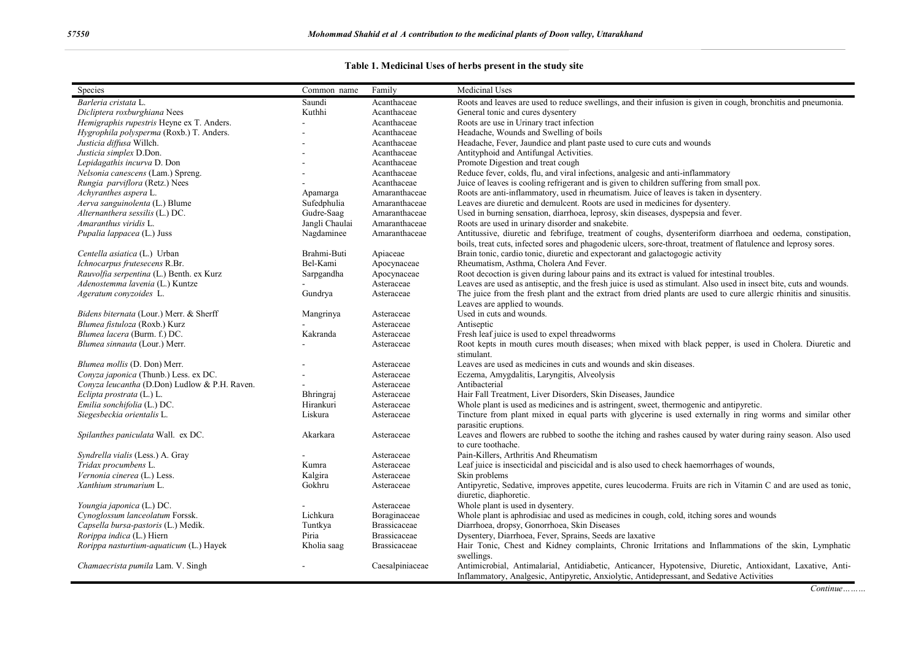## **Table 1. Medicinal Uses of herbs present in the study site**

| Roots and leaves are used to reduce swellings, and their infusion is given in cough, bronchitis and pneumonia.<br>Barleria cristata L.<br>Acanthaceae<br>Saundi<br>Dicliptera roxburghiana Nees<br>General tonic and cures dysentery<br>Kuthhi<br>Acanthaceae<br>Roots are use in Urinary tract infection<br>Hemigraphis rupestris Heyne ex T. Anders.<br>Acanthaceae<br>Hygrophila polysperma (Roxb.) T. Anders.<br>Acanthaceae<br>Headache, Wounds and Swelling of boils<br>Justicia diffusa Willch.<br>Acanthaceae<br>Headache, Fever, Jaundice and plant paste used to cure cuts and wounds<br>Antityphoid and Antifungal Activities.<br>Justicia simplex D.Don.<br>Acanthaceae<br>Lepidagathis incurva D. Don<br>Acanthaceae<br>Promote Digestion and treat cough<br>Nelsonia canescens (Lam.) Spreng.<br>Reduce fever, colds, flu, and viral infections, analgesic and anti-inflammatory<br>Acanthaceae<br>Juice of leaves is cooling refrigerant and is given to children suffering from small pox.<br>Rungia parviflora (Retz.) Nees<br>Acanthaceae<br>Roots are anti-inflammatory, used in rheumatism. Juice of leaves is taken in dysentery.<br>Achyranthes aspera L.<br>Amaranthaceae<br>Apamarga<br>Sufedphulia<br>Leaves are diuretic and demulcent. Roots are used in medicines for dysentery.<br>Aerva sanguinolenta (L.) Blume<br>Amaranthaceae<br>Alternanthera sessilis (L.) DC.<br>Used in burning sensation, diarrhoea, leprosy, skin diseases, dyspepsia and fever.<br>Gudre-Saag<br>Amaranthaceae<br>Amaranthus viridis L.<br>Jangli Chaulai<br>Amaranthaceae<br>Roots are used in urinary disorder and snakebite.<br>Nagdaminee<br>Antitussive, diuretic and febrifuge, treatment of coughs, dysenteriform diarrhoea and oedema, constipation,<br>Pupalia lappacea (L.) Juss<br>Amaranthaceae<br>boils, treat cuts, infected sores and phagodenic ulcers, sore-throat, treatment of flatulence and leprosy sores.<br>Brahmi-Buti<br>Brain tonic, cardio tonic, diuretic and expectorant and galactogogic activity<br>Centella asiatica (L.) Urban<br>Apiaceae<br>Ichnocarpus frutesecens R.Br.<br>Rheumatism, Asthma, Cholera And Fever.<br>Bel-Kami<br>Apocynaceae |
|--------------------------------------------------------------------------------------------------------------------------------------------------------------------------------------------------------------------------------------------------------------------------------------------------------------------------------------------------------------------------------------------------------------------------------------------------------------------------------------------------------------------------------------------------------------------------------------------------------------------------------------------------------------------------------------------------------------------------------------------------------------------------------------------------------------------------------------------------------------------------------------------------------------------------------------------------------------------------------------------------------------------------------------------------------------------------------------------------------------------------------------------------------------------------------------------------------------------------------------------------------------------------------------------------------------------------------------------------------------------------------------------------------------------------------------------------------------------------------------------------------------------------------------------------------------------------------------------------------------------------------------------------------------------------------------------------------------------------------------------------------------------------------------------------------------------------------------------------------------------------------------------------------------------------------------------------------------------------------------------------------------------------------------------------------------------------------------------------------------------------------------------------------------------------------------------|
|                                                                                                                                                                                                                                                                                                                                                                                                                                                                                                                                                                                                                                                                                                                                                                                                                                                                                                                                                                                                                                                                                                                                                                                                                                                                                                                                                                                                                                                                                                                                                                                                                                                                                                                                                                                                                                                                                                                                                                                                                                                                                                                                                                                            |
|                                                                                                                                                                                                                                                                                                                                                                                                                                                                                                                                                                                                                                                                                                                                                                                                                                                                                                                                                                                                                                                                                                                                                                                                                                                                                                                                                                                                                                                                                                                                                                                                                                                                                                                                                                                                                                                                                                                                                                                                                                                                                                                                                                                            |
|                                                                                                                                                                                                                                                                                                                                                                                                                                                                                                                                                                                                                                                                                                                                                                                                                                                                                                                                                                                                                                                                                                                                                                                                                                                                                                                                                                                                                                                                                                                                                                                                                                                                                                                                                                                                                                                                                                                                                                                                                                                                                                                                                                                            |
|                                                                                                                                                                                                                                                                                                                                                                                                                                                                                                                                                                                                                                                                                                                                                                                                                                                                                                                                                                                                                                                                                                                                                                                                                                                                                                                                                                                                                                                                                                                                                                                                                                                                                                                                                                                                                                                                                                                                                                                                                                                                                                                                                                                            |
|                                                                                                                                                                                                                                                                                                                                                                                                                                                                                                                                                                                                                                                                                                                                                                                                                                                                                                                                                                                                                                                                                                                                                                                                                                                                                                                                                                                                                                                                                                                                                                                                                                                                                                                                                                                                                                                                                                                                                                                                                                                                                                                                                                                            |
|                                                                                                                                                                                                                                                                                                                                                                                                                                                                                                                                                                                                                                                                                                                                                                                                                                                                                                                                                                                                                                                                                                                                                                                                                                                                                                                                                                                                                                                                                                                                                                                                                                                                                                                                                                                                                                                                                                                                                                                                                                                                                                                                                                                            |
|                                                                                                                                                                                                                                                                                                                                                                                                                                                                                                                                                                                                                                                                                                                                                                                                                                                                                                                                                                                                                                                                                                                                                                                                                                                                                                                                                                                                                                                                                                                                                                                                                                                                                                                                                                                                                                                                                                                                                                                                                                                                                                                                                                                            |
|                                                                                                                                                                                                                                                                                                                                                                                                                                                                                                                                                                                                                                                                                                                                                                                                                                                                                                                                                                                                                                                                                                                                                                                                                                                                                                                                                                                                                                                                                                                                                                                                                                                                                                                                                                                                                                                                                                                                                                                                                                                                                                                                                                                            |
|                                                                                                                                                                                                                                                                                                                                                                                                                                                                                                                                                                                                                                                                                                                                                                                                                                                                                                                                                                                                                                                                                                                                                                                                                                                                                                                                                                                                                                                                                                                                                                                                                                                                                                                                                                                                                                                                                                                                                                                                                                                                                                                                                                                            |
|                                                                                                                                                                                                                                                                                                                                                                                                                                                                                                                                                                                                                                                                                                                                                                                                                                                                                                                                                                                                                                                                                                                                                                                                                                                                                                                                                                                                                                                                                                                                                                                                                                                                                                                                                                                                                                                                                                                                                                                                                                                                                                                                                                                            |
|                                                                                                                                                                                                                                                                                                                                                                                                                                                                                                                                                                                                                                                                                                                                                                                                                                                                                                                                                                                                                                                                                                                                                                                                                                                                                                                                                                                                                                                                                                                                                                                                                                                                                                                                                                                                                                                                                                                                                                                                                                                                                                                                                                                            |
|                                                                                                                                                                                                                                                                                                                                                                                                                                                                                                                                                                                                                                                                                                                                                                                                                                                                                                                                                                                                                                                                                                                                                                                                                                                                                                                                                                                                                                                                                                                                                                                                                                                                                                                                                                                                                                                                                                                                                                                                                                                                                                                                                                                            |
|                                                                                                                                                                                                                                                                                                                                                                                                                                                                                                                                                                                                                                                                                                                                                                                                                                                                                                                                                                                                                                                                                                                                                                                                                                                                                                                                                                                                                                                                                                                                                                                                                                                                                                                                                                                                                                                                                                                                                                                                                                                                                                                                                                                            |
|                                                                                                                                                                                                                                                                                                                                                                                                                                                                                                                                                                                                                                                                                                                                                                                                                                                                                                                                                                                                                                                                                                                                                                                                                                                                                                                                                                                                                                                                                                                                                                                                                                                                                                                                                                                                                                                                                                                                                                                                                                                                                                                                                                                            |
|                                                                                                                                                                                                                                                                                                                                                                                                                                                                                                                                                                                                                                                                                                                                                                                                                                                                                                                                                                                                                                                                                                                                                                                                                                                                                                                                                                                                                                                                                                                                                                                                                                                                                                                                                                                                                                                                                                                                                                                                                                                                                                                                                                                            |
|                                                                                                                                                                                                                                                                                                                                                                                                                                                                                                                                                                                                                                                                                                                                                                                                                                                                                                                                                                                                                                                                                                                                                                                                                                                                                                                                                                                                                                                                                                                                                                                                                                                                                                                                                                                                                                                                                                                                                                                                                                                                                                                                                                                            |
|                                                                                                                                                                                                                                                                                                                                                                                                                                                                                                                                                                                                                                                                                                                                                                                                                                                                                                                                                                                                                                                                                                                                                                                                                                                                                                                                                                                                                                                                                                                                                                                                                                                                                                                                                                                                                                                                                                                                                                                                                                                                                                                                                                                            |
| Root decoction is given during labour pains and its extract is valued for intestinal troubles.<br>Rauvolfia serpentina (L.) Benth. ex Kurz<br>Sarpgandha<br>Apocynaceae                                                                                                                                                                                                                                                                                                                                                                                                                                                                                                                                                                                                                                                                                                                                                                                                                                                                                                                                                                                                                                                                                                                                                                                                                                                                                                                                                                                                                                                                                                                                                                                                                                                                                                                                                                                                                                                                                                                                                                                                                    |
| Leaves are used as antiseptic, and the fresh juice is used as stimulant. Also used in insect bite, cuts and wounds.<br>Adenostemma lavenia (L.) Kuntze<br>Asteraceae                                                                                                                                                                                                                                                                                                                                                                                                                                                                                                                                                                                                                                                                                                                                                                                                                                                                                                                                                                                                                                                                                                                                                                                                                                                                                                                                                                                                                                                                                                                                                                                                                                                                                                                                                                                                                                                                                                                                                                                                                       |
| The juice from the fresh plant and the extract from dried plants are used to cure allergic rhinitis and sinusitis.<br>Ageratum conyzoides L.<br>Asteraceae<br>Gundrya                                                                                                                                                                                                                                                                                                                                                                                                                                                                                                                                                                                                                                                                                                                                                                                                                                                                                                                                                                                                                                                                                                                                                                                                                                                                                                                                                                                                                                                                                                                                                                                                                                                                                                                                                                                                                                                                                                                                                                                                                      |
| Leaves are applied to wounds.                                                                                                                                                                                                                                                                                                                                                                                                                                                                                                                                                                                                                                                                                                                                                                                                                                                                                                                                                                                                                                                                                                                                                                                                                                                                                                                                                                                                                                                                                                                                                                                                                                                                                                                                                                                                                                                                                                                                                                                                                                                                                                                                                              |
| Used in cuts and wounds.<br>Bidens biternata (Lour.) Merr. & Sherff<br>Mangrinya<br>Asteraceae                                                                                                                                                                                                                                                                                                                                                                                                                                                                                                                                                                                                                                                                                                                                                                                                                                                                                                                                                                                                                                                                                                                                                                                                                                                                                                                                                                                                                                                                                                                                                                                                                                                                                                                                                                                                                                                                                                                                                                                                                                                                                             |
| Blumea fistuloza (Roxb.) Kurz<br>Antiseptic<br>Asteraceae                                                                                                                                                                                                                                                                                                                                                                                                                                                                                                                                                                                                                                                                                                                                                                                                                                                                                                                                                                                                                                                                                                                                                                                                                                                                                                                                                                                                                                                                                                                                                                                                                                                                                                                                                                                                                                                                                                                                                                                                                                                                                                                                  |
| Blumea lacera (Burm. f.) DC.<br>Kakranda<br>Asteraceae<br>Fresh leaf juice is used to expel threadworms                                                                                                                                                                                                                                                                                                                                                                                                                                                                                                                                                                                                                                                                                                                                                                                                                                                                                                                                                                                                                                                                                                                                                                                                                                                                                                                                                                                                                                                                                                                                                                                                                                                                                                                                                                                                                                                                                                                                                                                                                                                                                    |
| Blumea sinnauta (Lour.) Merr.<br>Root kepts in mouth cures mouth diseases; when mixed with black pepper, is used in Cholera. Diuretic and<br>Asteraceae                                                                                                                                                                                                                                                                                                                                                                                                                                                                                                                                                                                                                                                                                                                                                                                                                                                                                                                                                                                                                                                                                                                                                                                                                                                                                                                                                                                                                                                                                                                                                                                                                                                                                                                                                                                                                                                                                                                                                                                                                                    |
| stimulant.                                                                                                                                                                                                                                                                                                                                                                                                                                                                                                                                                                                                                                                                                                                                                                                                                                                                                                                                                                                                                                                                                                                                                                                                                                                                                                                                                                                                                                                                                                                                                                                                                                                                                                                                                                                                                                                                                                                                                                                                                                                                                                                                                                                 |
| Blumea mollis (D. Don) Merr.<br>Leaves are used as medicines in cuts and wounds and skin diseases.<br>Asteraceae                                                                                                                                                                                                                                                                                                                                                                                                                                                                                                                                                                                                                                                                                                                                                                                                                                                                                                                                                                                                                                                                                                                                                                                                                                                                                                                                                                                                                                                                                                                                                                                                                                                                                                                                                                                                                                                                                                                                                                                                                                                                           |
| Conyza japonica (Thunb.) Less. ex DC.<br>Eczema, Amygdalitis, Laryngitis, Alveolysis<br>Asteraceae                                                                                                                                                                                                                                                                                                                                                                                                                                                                                                                                                                                                                                                                                                                                                                                                                                                                                                                                                                                                                                                                                                                                                                                                                                                                                                                                                                                                                                                                                                                                                                                                                                                                                                                                                                                                                                                                                                                                                                                                                                                                                         |
| Conyza leucantha (D.Don) Ludlow & P.H. Raven.<br>Antibacterial<br>Asteraceae                                                                                                                                                                                                                                                                                                                                                                                                                                                                                                                                                                                                                                                                                                                                                                                                                                                                                                                                                                                                                                                                                                                                                                                                                                                                                                                                                                                                                                                                                                                                                                                                                                                                                                                                                                                                                                                                                                                                                                                                                                                                                                               |
| Hair Fall Treatment, Liver Disorders, Skin Diseases, Jaundice<br>Eclipta prostrata (L.) L.<br>Asteraceae<br><b>Bhringraj</b>                                                                                                                                                                                                                                                                                                                                                                                                                                                                                                                                                                                                                                                                                                                                                                                                                                                                                                                                                                                                                                                                                                                                                                                                                                                                                                                                                                                                                                                                                                                                                                                                                                                                                                                                                                                                                                                                                                                                                                                                                                                               |
| Emilia sonchifolia (L.) DC.<br>Hirankuri<br>Whole plant is used as medicines and is astringent, sweet, thermogenic and antipyretic.<br>Asteraceae                                                                                                                                                                                                                                                                                                                                                                                                                                                                                                                                                                                                                                                                                                                                                                                                                                                                                                                                                                                                                                                                                                                                                                                                                                                                                                                                                                                                                                                                                                                                                                                                                                                                                                                                                                                                                                                                                                                                                                                                                                          |
| Siegesbeckia orientalis L.<br>Tincture from plant mixed in equal parts with glycerine is used externally in ring worms and similar other<br>Liskura<br>Asteraceae                                                                                                                                                                                                                                                                                                                                                                                                                                                                                                                                                                                                                                                                                                                                                                                                                                                                                                                                                                                                                                                                                                                                                                                                                                                                                                                                                                                                                                                                                                                                                                                                                                                                                                                                                                                                                                                                                                                                                                                                                          |
| parasitic eruptions.                                                                                                                                                                                                                                                                                                                                                                                                                                                                                                                                                                                                                                                                                                                                                                                                                                                                                                                                                                                                                                                                                                                                                                                                                                                                                                                                                                                                                                                                                                                                                                                                                                                                                                                                                                                                                                                                                                                                                                                                                                                                                                                                                                       |
| Leaves and flowers are rubbed to soothe the itching and rashes caused by water during rainy season. Also used<br>Spilanthes paniculata Wall. ex DC.<br>Akarkara<br>Asteraceae                                                                                                                                                                                                                                                                                                                                                                                                                                                                                                                                                                                                                                                                                                                                                                                                                                                                                                                                                                                                                                                                                                                                                                                                                                                                                                                                                                                                                                                                                                                                                                                                                                                                                                                                                                                                                                                                                                                                                                                                              |
| to cure toothache.                                                                                                                                                                                                                                                                                                                                                                                                                                                                                                                                                                                                                                                                                                                                                                                                                                                                                                                                                                                                                                                                                                                                                                                                                                                                                                                                                                                                                                                                                                                                                                                                                                                                                                                                                                                                                                                                                                                                                                                                                                                                                                                                                                         |
| Pain-Killers, Arthritis And Rheumatism<br>Syndrella vialis (Less.) A. Gray<br>Asteraceae                                                                                                                                                                                                                                                                                                                                                                                                                                                                                                                                                                                                                                                                                                                                                                                                                                                                                                                                                                                                                                                                                                                                                                                                                                                                                                                                                                                                                                                                                                                                                                                                                                                                                                                                                                                                                                                                                                                                                                                                                                                                                                   |
| Tridax procumbens L.<br>Leaf juice is insecticidal and piscicidal and is also used to check haemorrhages of wounds,<br>Kumra<br>Asteraceae                                                                                                                                                                                                                                                                                                                                                                                                                                                                                                                                                                                                                                                                                                                                                                                                                                                                                                                                                                                                                                                                                                                                                                                                                                                                                                                                                                                                                                                                                                                                                                                                                                                                                                                                                                                                                                                                                                                                                                                                                                                 |
| Vernonia cinerea (L.) Less.<br>Kalgira<br>Skin problems<br>Asteraceae                                                                                                                                                                                                                                                                                                                                                                                                                                                                                                                                                                                                                                                                                                                                                                                                                                                                                                                                                                                                                                                                                                                                                                                                                                                                                                                                                                                                                                                                                                                                                                                                                                                                                                                                                                                                                                                                                                                                                                                                                                                                                                                      |
| Xanthium strumarium L.<br>Gokhru<br>Antipyretic, Sedative, improves appetite, cures leucoderma. Fruits are rich in Vitamin C and are used as tonic,<br>Asteraceae                                                                                                                                                                                                                                                                                                                                                                                                                                                                                                                                                                                                                                                                                                                                                                                                                                                                                                                                                                                                                                                                                                                                                                                                                                                                                                                                                                                                                                                                                                                                                                                                                                                                                                                                                                                                                                                                                                                                                                                                                          |
| diuretic, diaphoretic.                                                                                                                                                                                                                                                                                                                                                                                                                                                                                                                                                                                                                                                                                                                                                                                                                                                                                                                                                                                                                                                                                                                                                                                                                                                                                                                                                                                                                                                                                                                                                                                                                                                                                                                                                                                                                                                                                                                                                                                                                                                                                                                                                                     |
| Whole plant is used in dysentery.<br>Youngia japonica (L.) DC.<br>Asteraceae                                                                                                                                                                                                                                                                                                                                                                                                                                                                                                                                                                                                                                                                                                                                                                                                                                                                                                                                                                                                                                                                                                                                                                                                                                                                                                                                                                                                                                                                                                                                                                                                                                                                                                                                                                                                                                                                                                                                                                                                                                                                                                               |
| Whole plant is aphrodisiac and used as medicines in cough, cold, itching sores and wounds<br>Cynoglossum lanceolatum Forssk.<br>Lichkura<br>Boraginaceae                                                                                                                                                                                                                                                                                                                                                                                                                                                                                                                                                                                                                                                                                                                                                                                                                                                                                                                                                                                                                                                                                                                                                                                                                                                                                                                                                                                                                                                                                                                                                                                                                                                                                                                                                                                                                                                                                                                                                                                                                                   |
| Capsella bursa-pastoris (L.) Medik.<br><b>Brassicaceae</b><br>Diarrhoea, dropsy, Gonorrhoea, Skin Diseases<br>Tuntkya                                                                                                                                                                                                                                                                                                                                                                                                                                                                                                                                                                                                                                                                                                                                                                                                                                                                                                                                                                                                                                                                                                                                                                                                                                                                                                                                                                                                                                                                                                                                                                                                                                                                                                                                                                                                                                                                                                                                                                                                                                                                      |
| Dysentery, Diarrhoea, Fever, Sprains, Seeds are laxative<br>Rorippa indica (L.) Hiern<br>Piria<br><b>Brassicaceae</b>                                                                                                                                                                                                                                                                                                                                                                                                                                                                                                                                                                                                                                                                                                                                                                                                                                                                                                                                                                                                                                                                                                                                                                                                                                                                                                                                                                                                                                                                                                                                                                                                                                                                                                                                                                                                                                                                                                                                                                                                                                                                      |
| Rorippa nasturtium-aquaticum (L.) Hayek<br>Hair Tonic, Chest and Kidney complaints, Chronic Irritations and Inflammations of the skin, Lymphatic<br>Kholia saag<br><b>Brassicaceae</b>                                                                                                                                                                                                                                                                                                                                                                                                                                                                                                                                                                                                                                                                                                                                                                                                                                                                                                                                                                                                                                                                                                                                                                                                                                                                                                                                                                                                                                                                                                                                                                                                                                                                                                                                                                                                                                                                                                                                                                                                     |
| swellings.                                                                                                                                                                                                                                                                                                                                                                                                                                                                                                                                                                                                                                                                                                                                                                                                                                                                                                                                                                                                                                                                                                                                                                                                                                                                                                                                                                                                                                                                                                                                                                                                                                                                                                                                                                                                                                                                                                                                                                                                                                                                                                                                                                                 |
| Antimicrobial, Antimalarial, Antidiabetic, Anticancer, Hypotensive, Diuretic, Antioxidant, Laxative, Anti-<br>Chamaecrista pumila Lam. V. Singh<br>Caesalpiniaceae                                                                                                                                                                                                                                                                                                                                                                                                                                                                                                                                                                                                                                                                                                                                                                                                                                                                                                                                                                                                                                                                                                                                                                                                                                                                                                                                                                                                                                                                                                                                                                                                                                                                                                                                                                                                                                                                                                                                                                                                                         |
| Inflammatory, Analgesic, Antipyretic, Anxiolytic, Antidepressant, and Sedative Activities                                                                                                                                                                                                                                                                                                                                                                                                                                                                                                                                                                                                                                                                                                                                                                                                                                                                                                                                                                                                                                                                                                                                                                                                                                                                                                                                                                                                                                                                                                                                                                                                                                                                                                                                                                                                                                                                                                                                                                                                                                                                                                  |

*Continue………*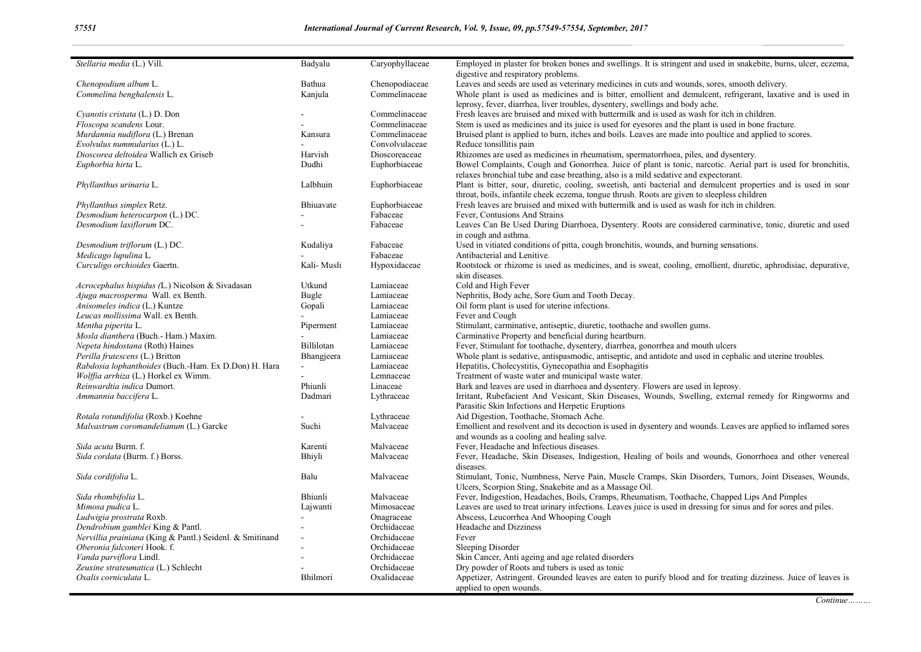| Stellaria media (L.) Vill.                               | Badyalu     | Caryophyllaceae | Employed in plaster for broken bones and swellings. It is stringent and used in snakebite, burns, ulcer, eczema,<br>digestive and respiratory problems. |
|----------------------------------------------------------|-------------|-----------------|---------------------------------------------------------------------------------------------------------------------------------------------------------|
| Chenopodium album L.                                     | Bathua      | Chenopodiaceae  | Leaves and seeds are used as veterinary medicines in cuts and wounds, sores, smooth delivery.                                                           |
| Commelina benghalensis L.                                | Kanjula     | Commelinaceae   | Whole plant is used as medicines and is bitter, emollient and demulcent, refrigerant, laxative and is used in                                           |
|                                                          |             |                 | leprosy, fever, diarrhea, liver troubles, dysentery, swellings and body ache.                                                                           |
| Cyanotis cristata (L.) D. Don                            |             | Commelinaceae   | Fresh leaves are bruised and mixed with buttermilk and is used as wash for itch in children.                                                            |
| Floscopa scandens Lour.                                  |             | Commelinaceae   | Stem is used as medicines and its juice is used for eyesores and the plant is used in bone fracture.                                                    |
| Murdannia nudiflora (L.) Brenan                          |             | Commelinaceae   | Bruised plant is applied to burn, itches and boils. Leaves are made into poultice and applied to scores.                                                |
| Evolvulus nummularius (L.) L.                            | Kansura     | Convolvulaceae  |                                                                                                                                                         |
|                                                          |             |                 | Reduce tonsillitis pain                                                                                                                                 |
| Dioscorea deltoidea Wallich ex Griseb                    | Harvish     | Dioscoreaceae   | Rhizomes are used as medicines in rheumatism, spermatorrhoea, piles, and dysentery.                                                                     |
| Euphorbia hirta L.                                       | Dudhi       | Euphorbiaceae   | Bowel Complaints, Cough and Gonorrhea. Juice of plant is tonic, narcotic. Aerial part is used for bronchitis,                                           |
|                                                          |             |                 | relaxes bronchial tube and ease breathing, also is a mild sedative and expectorant.                                                                     |
| Phyllanthus urinaria L.                                  | Lalbhuin    | Euphorbiaceae   | Plant is bitter, sour, diuretic, cooling, sweetish, anti-bacterial and demulcent properties and is used in soar                                         |
|                                                          |             |                 | throat, boils, infantile cheek eczema, tongue thrush. Roots are given to sleepless children                                                             |
| Phyllanthus simplex Retz.                                | Bhiuavate   | Euphorbiaceae   | Fresh leaves are bruised and mixed with buttermilk and is used as wash for itch in children.                                                            |
| Desmodium heterocarpon (L.) DC.                          |             | Fabaceae        | Fever, Contusions And Strains                                                                                                                           |
| Desmodium laxiflorum DC.                                 |             | Fabaceae        | Leaves Can Be Used During Diarrhoea, Dysentery. Roots are considered carminative, tonic, diuretic and used                                              |
|                                                          |             |                 | in cough and asthma.                                                                                                                                    |
| Desmodium triflorum (L.) DC.                             | Kudaliya    | Fabaceae        | Used in vitiated conditions of pitta, cough bronchitis, wounds, and burning sensations.                                                                 |
| Medicago lupulina L.                                     |             | Fabaceae        | Antibacterial and Lenitive.                                                                                                                             |
| Curculigo orchioides Gaertn.                             | Kali- Musli | Hypoxidaceae    | Rootstock or rhizome is used as medicines, and is sweat, cooling, emollient, diuretic, aphrodisiac, depurative,                                         |
|                                                          |             |                 | skin diseases.                                                                                                                                          |
| Acrocephalus hispidus (L.) Nicolson & Sivadasan          | Utkund      | Lamiaceae       | Cold and High Fever                                                                                                                                     |
| Ajuga macrosperma Wall. ex Benth.                        | Bugle       | Lamiaceae       | Nephritis, Body ache, Sore Gum and Tooth Decay.                                                                                                         |
| Anisomeles indica (L.) Kuntze                            | Gopali      | Lamiaceae       | Oil form plant is used for uterine infections.                                                                                                          |
| Leucas mollissima Wall. ex Benth.                        |             | Lamiaceae       | Fever and Cough                                                                                                                                         |
| Mentha piperita L.                                       |             | Lamiaceae       | Stimulant, carminative, antiseptic, diuretic, toothache and swollen gums.                                                                               |
|                                                          | Piperment   |                 |                                                                                                                                                         |
| Mosla dianthera (Buch.- Ham.) Maxim.                     |             | Lamiaceae       | Carminative Property and beneficial during heartburn.                                                                                                   |
| Nepeta hindostana (Roth) Haines                          | Billilotan  | Lamiaceae       | Fever, Stimulant for toothache, dysentery, diarrhea, gonorrhea and mouth ulcers                                                                         |
| Perilla frutescens (L.) Britton                          | Bhangjeera  | Lamiaceae       | Whole plant is sedative, antispasmodic, antiseptic, and antidote and used in cephalic and uterine troubles.                                             |
| Rabdosia lophanthoides (Buch.-Ham. Ex D.Don) H. Hara     |             | Lamiaceae       | Hepatitis, Cholecystitis, Gynecopathia and Esophagitis                                                                                                  |
| Wolffia arrhiza (L.) Horkel ex Wimm.                     |             | Lemnaceae       | Treatment of waste water and municipal waste water.                                                                                                     |
| Reinwardtia indica Dumort.                               | Phiunli     | Linaceae        | Bark and leaves are used in diarrhoea and dysentery. Flowers are used in leprosy.                                                                       |
| Ammannia baccifera L.                                    | Dadmari     | Lythraceae      | Irritant, Rubefacient And Vesicant, Skin Diseases, Wounds, Swelling, external remedy for Ringworms and                                                  |
|                                                          |             |                 | Parasitic Skin Infections and Herpetic Eruptions                                                                                                        |
| Rotala rotundifolia (Roxb.) Koehne                       |             | Lythraceae      | Aid Digestion, Toothache, Stomach Ache.                                                                                                                 |
| Malvastrum coromandelianum (L.) Garcke                   | Suchi       | Malvaceae       | Emollient and resolvent and its decoction is used in dysentery and wounds. Leaves are applied to inflamed sores                                         |
|                                                          |             |                 | and wounds as a cooling and healing salve.                                                                                                              |
| Sida acuta Burm. f.                                      | Karenti     | Malvaceae       | Fever, Headache and Infectious diseases.                                                                                                                |
| Sida cordata (Burm. f.) Borss.                           | Bhiyli      | Malvaceae       | Fever, Headache, Skin Diseases, Indigestion, Healing of boils and wounds, Gonorrhoea and other venereal                                                 |
|                                                          |             |                 | diseases.                                                                                                                                               |
| Sida cordifolia L.                                       | Balu        | Malvaceae       | Stimulant, Tonic, Numbness, Nerve Pain, Muscle Cramps, Skin Disorders, Tumors, Joint Diseases, Wounds,                                                  |
|                                                          |             |                 | Ulcers, Scorpion Sting, Snakebite and as a Massage Oil.                                                                                                 |
| Sida rhombifolia L.                                      | Bhiunli     | Malvaceae       | Fever, Indigestion, Headaches, Boils, Cramps, Rheumatism, Toothache, Chapped Lips And Pimples                                                           |
| Mimosa pudica L.                                         | Lajwanti    | Mimosaceae      | Leaves are used to treat urinary infections. Leaves juice is used in dressing for sinus and for sores and piles.                                        |
| Ludwigia prostrata Roxb.                                 |             | Onagraceae      | Abscess, Leucorrhea And Whooping Cough                                                                                                                  |
| Dendrobium gamblei King & Pantl.                         |             | Orchidaceae     | Headache and Dizziness                                                                                                                                  |
| Nervillia prainiana (King & Pantl.) Seidenl. & Smitinand |             | Orchidaceae     | Fever                                                                                                                                                   |
| Oberonia falconeri Hook. f.                              |             | Orchidaceae     |                                                                                                                                                         |
|                                                          |             | Orchidaceae     | Sleeping Disorder                                                                                                                                       |
| Vanda parviflora Lindl.                                  |             |                 | Skin Cancer, Anti ageing and age related disorders                                                                                                      |
| Zeuxine strateumatica (L.) Schlecht                      |             | Orchidaceae     | Dry powder of Roots and tubers is used as tonic                                                                                                         |
| Oxalis corniculata L.                                    | Bhilmori    | Oxalidaceae     | Appetizer, Astringent. Grounded leaves are eaten to purify blood and for treating dizziness. Juice of leaves is                                         |
|                                                          |             |                 | applied to open wounds.                                                                                                                                 |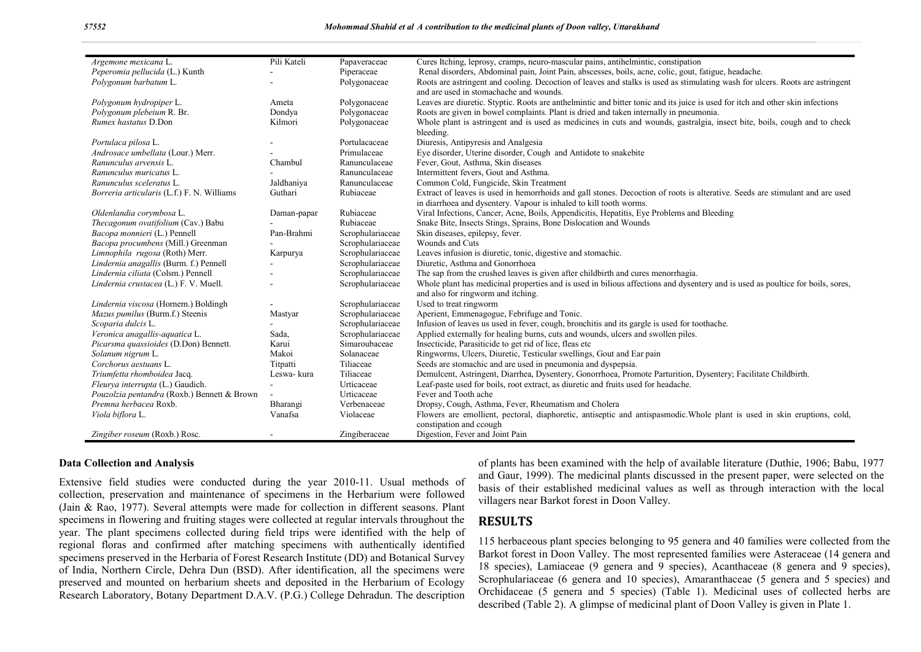| Argemone mexicana L.                        | Pili Kateli              | Papaveraceae     | Cures Itching, leprosy, cramps, neuro-mascular pains, antihelmintic, constipation                                                      |
|---------------------------------------------|--------------------------|------------------|----------------------------------------------------------------------------------------------------------------------------------------|
| Peperomia pellucida (L.) Kunth              |                          | Piperaceae       | Renal disorders, Abdominal pain, Joint Pain, abscesses, boils, acne, colic, gout, fatigue, headache.                                   |
| Polygonum barbatum L.                       |                          | Polygonaceae     | Roots are astringent and cooling. Decoction of leaves and stalks is used as stimulating wash for ulcers. Roots are astringent          |
|                                             |                          |                  | and are used in stomachache and wounds.                                                                                                |
|                                             |                          |                  |                                                                                                                                        |
| Polygonum hydropiper L.                     | Ameta                    | Polygonaceae     | Leaves are diuretic. Styptic. Roots are anthelmintic and bitter tonic and its juice is used for itch and other skin infections         |
| Polygonum plebeium R. Br.                   | Dondya                   | Polygonaceae     | Roots are given in bowel complaints. Plant is dried and taken internally in pneumonia.                                                 |
| Rumex hastatus D.Don                        | Kilmori                  | Polygonaceae     | Whole plant is astringent and is used as medicines in cuts and wounds, gastralgia, insect bite, boils, cough and to check<br>bleeding. |
| Portulaca pilosa L.                         |                          | Portulacaceae    | Diuresis, Antipyresis and Analgesia                                                                                                    |
| Androsace umbellata (Lour.) Merr.           |                          | Primulaceae      | Eye disorder, Uterine disorder, Cough and Antidote to snakebite                                                                        |
| Ranunculus arvensis L.                      | Chambul                  | Ranunculaceae    | Fever, Gout, Asthma, Skin diseases                                                                                                     |
| Ranunculus muricatus L.                     |                          | Ranunculaceae    | Intermittent fevers, Gout and Asthma.                                                                                                  |
| Ranunculus sceleratus L.                    | Jaldhaniya               | Ranunculaceae    | Common Cold, Fungicide, Skin Treatment                                                                                                 |
| Borreria articularis (L.f.) F. N. Williams  | Guthari                  | Rubiaceae        | Extract of leaves is used in hemorrhoids and gall stones. Decoction of roots is alterative. Seeds are stimulant and are used           |
|                                             |                          |                  | in diarrhoea and dysentery. Vapour is inhaled to kill tooth worms.                                                                     |
| Oldenlandia corymbosa L.                    | Daman-papar              | Rubiaceae        | Viral Infections, Cancer, Acne, Boils, Appendicitis, Hepatitis, Eye Problems and Bleeding                                              |
| Thecagonum ovatifolium (Cav.) Babu          |                          | Rubiaceae        | Snake Bite, Insects Stings, Sprains, Bone Dislocation and Wounds                                                                       |
| Bacopa monnieri (L.) Pennell                | Pan-Brahmi               | Scrophulariaceae | Skin diseases, epilepsy, fever.                                                                                                        |
| Bacopa procumbens (Mill.) Greenman          |                          | Scrophulariaceae | Wounds and Cuts                                                                                                                        |
| Limnophila rugosa (Roth) Merr.              | Karpurya                 | Scrophulariaceae | Leaves infusion is diuretic, tonic, digestive and stomachic.                                                                           |
| Lindernia anagallis (Burm. f.) Pennell      |                          | Scrophulariaceae | Diuretic, Asthma and Gonorrhoea                                                                                                        |
| Lindernia ciliata (Colsm.) Pennell          |                          | Scrophulariaceae | The sap from the crushed leaves is given after childbirth and cures menorrhagia.                                                       |
| Lindernia crustacea (L.) F. V. Muell.       |                          | Scrophulariaceae | Whole plant has medicinal properties and is used in bilious affections and dysentery and is used as poultice for boils, sores,         |
|                                             |                          |                  | and also for ringworm and itching.                                                                                                     |
| Lindernia viscosa (Hornem.) Boldingh        | $\overline{\phantom{a}}$ | Scrophulariaceae | Used to treat ringworm                                                                                                                 |
| Mazus pumilus (Burm.f.) Steenis             | Mastyar                  | Scrophulariaceae | Aperient, Emmenagogue, Febrifuge and Tonic.                                                                                            |
| Scoparia dulcis L.                          |                          | Scrophulariaceae | Infusion of leaves us used in fever, cough, bronchitis and its gargle is used for toothache.                                           |
| Veronica anagallis-aquatica L.              | Sada,                    | Scrophulariaceae | Applied externally for healing burns, cuts and wounds, ulcers and swollen piles.                                                       |
| Picarsma quassioides (D.Don) Bennett.       | Karui                    | Simaroubaceae    | Insecticide, Parasiticide to get rid of lice, fleas etc                                                                                |
| Solanum nigrum L.                           | Makoi                    | Solanaceae       | Ringworms, Ulcers, Diuretic, Testicular swellings, Gout and Ear pain                                                                   |
| Corchorus aestuans L.                       | Titpatti                 | Tiliaceae        | Seeds are stomachic and are used in pneumonia and dyspepsia.                                                                           |
| Triumfetta rhomboidea Jacq.                 | Leswa- kura              | Tiliaceae        | Demulcent, Astringent, Diarrhea, Dysentery, Gonorrhoea, Promote Parturition, Dysentery; Facilitate Childbirth.                         |
| Fleurya interrupta (L.) Gaudich.            |                          | Urticaceae       | Leaf-paste used for boils, root extract, as diuretic and fruits used for headache.                                                     |
| Pouzolzia pentandra (Roxb.) Bennett & Brown |                          | Urticaceae       | Fever and Tooth ache                                                                                                                   |
| Premna herbacea Roxb.                       | Bharangi                 | Verbenaceae      | Dropsy, Cough, Asthma, Fever, Rheumatism and Cholera                                                                                   |
| Viola biflora L.                            | Vanafsa                  | Violaceae        | Flowers are emollient, pectoral, diaphoretic, antiseptic and antispasmodic. Whole plant is used in skin eruptions, cold,               |
|                                             |                          |                  | constipation and ccough                                                                                                                |
| Zingiber roseum (Roxb.) Rosc.               |                          | Zingiberaceae    | Digestion, Fever and Joint Pain                                                                                                        |

#### **Data Collection and Analysis**

Extensive field studies were conducted during the year 2010-11. Usual methods of collection, preservation and maintenance of specimens in the Herbarium were followed (Jain & Rao, 1977). Several attempts were made for collection in different seasons. Plant specimens in flowering and fruiting stages were collected at regular intervals throughout the year. The plant specimens collected during field trips were identified with the help of regional floras and confirmed after matching specimens with authentically identified specimens preserved in the Herbaria of Forest Research Institute (DD) and Botanical Survey of India, Northern Circle, Dehra Dun (BSD). After identification, all the specimens were preserved and mounted on herbarium sheets and deposited in the Herbarium of Ecology Research Laboratory, Botany Department D.A.V. (P.G.) College Dehradun. The description

of plants has been examined with the help of available literature (Duthie, 1906; Babu, 1977 and Gaur, 1999). The medicinal plants discussed in the present paper, were selected on the basis of their established medicinal values as well as through interaction with the local villagers near Barkot forest in Doon Valley.

## **RESULTS**

115 herbaceous plant species belonging to 95 genera and 40 families were collected from the Barkot forest in Doon Valley. The most represented families were Asteraceae (14 genera and 18 species), Lamiaceae (9 genera and 9 species), Acanthaceae (8 genera and 9 species), Scrophulariaceae (6 genera and 10 species), Amaranthaceae (5 genera and 5 species) and Orchidaceae (5 genera and 5 species) (Table 1). Medicinal uses of collected herbs are described (Table 2). A glimpse of medicinal plant of Doon Valley is given in Plate 1.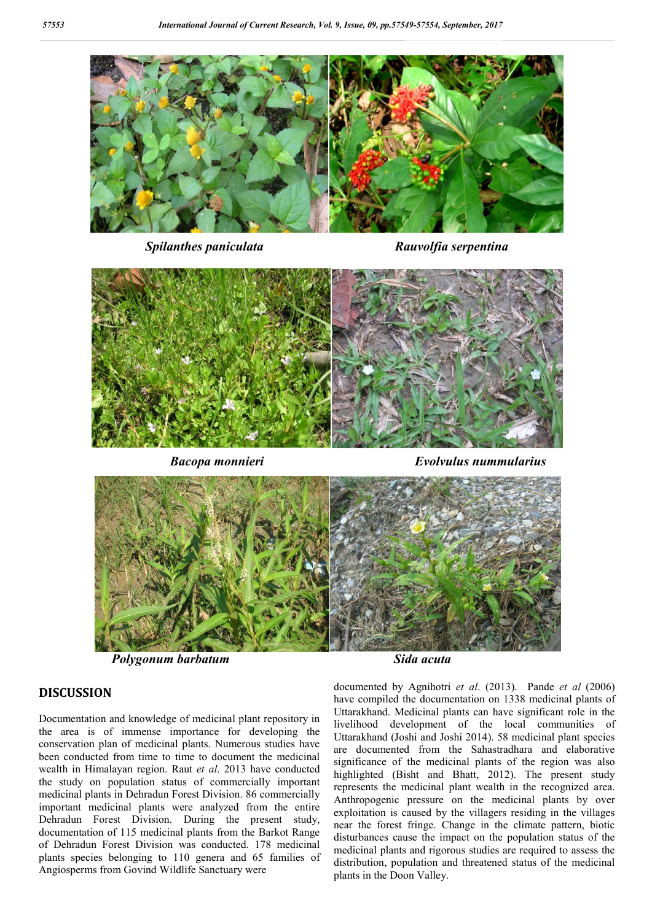

*Spilanthes paniculata Rauvolfia serpentina*



 *Bacopa monnieri Evolvulus nummularius*



#### **DISCUSSION**

Documentation and knowledge of medicinal plant repository in the area is of immense importance for developing the conservation plan of medicinal plants. Numerous studies have been conducted from time to time to document the medicinal wealth in Himalayan region. Raut *et al*. 2013 have conducted the study on population status of commercially important medicinal plants in Dehradun Forest Division. 86 commercially important medicinal plants were analyzed from the entire Dehradun Forest Division. During the present study, documentation of 115 medicinal plants from the Barkot Range of Dehradun Forest Division was conducted. 178 medicinal plants species belonging to 110 genera and 65 families of Angiosperms from Govind Wildlife Sanctuary were

documented by Agnihotri *et al*. (2013). Pande *et al* (2006) have compiled the documentation on 1338 medicinal plants of Uttarakhand. Medicinal plants can have significant role in the livelihood development of the local communities of Uttarakhand (Joshi and Joshi 2014). 58 medicinal plant species are documented from the Sahastradhara and elaborative significance of the medicinal plants of the region was also highlighted (Bisht and Bhatt, 2012). The present study represents the medicinal plant wealth in the recognized area. Anthropogenic pressure on the medicinal plants by over exploitation is caused by the villagers residing in the villages near the forest fringe. Change in the climate pattern, biotic disturbances cause the impact on the population status of the medicinal plants and rigorous studies are required to assess the distribution, population and threatened status of the medicinal plants in the Doon Valley.